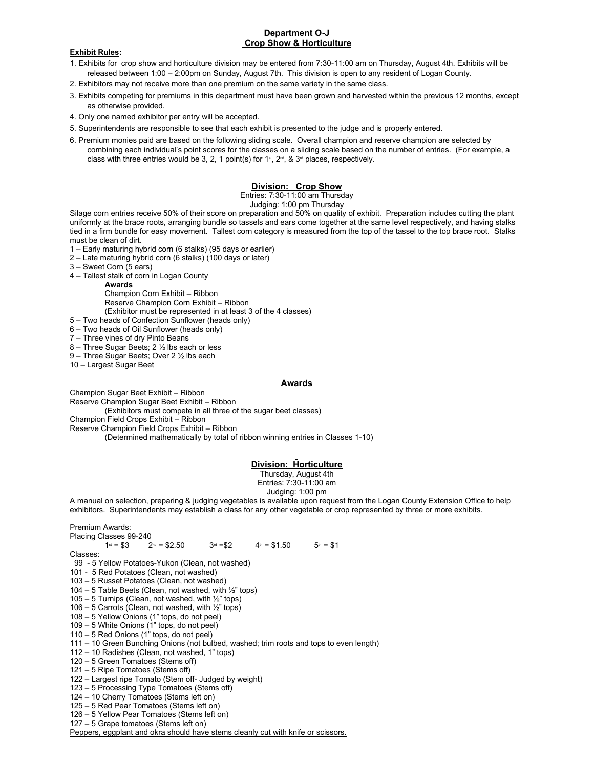# **Department O-J Crop Show & Horticulture**

### **Exhibit Rules:**

- 1. Exhibits for crop show and horticulture division may be entered from 7:30-11:00 am on Thursday, August 4th. Exhibits will be released between 1:00 – 2:00pm on Sunday, August 7th. This division is open to any resident of Logan County.
- 2. Exhibitors may not receive more than one premium on the same variety in the same class.
- 3. Exhibits competing for premiums in this department must have been grown and harvested within the previous 12 months, except as otherwise provided.
- 4. Only one named exhibitor per entry will be accepted.
- 5. Superintendents are responsible to see that each exhibit is presented to the judge and is properly entered.
- 6. Premium monies paid are based on the following sliding scale. Overall champion and reserve champion are selected by combining each individual's point scores for the classes on a sliding scale based on the number of entries. (For example, a class with three entries would be 3, 2, 1 point(s) for 1ª, 2ª, & 3ª places, respectively.

# **Division: Crop Show**

Entries: 7:30-11:00 am Thursday

Judging: 1:00 pm Thursday

Silage corn entries receive 50% of their score on preparation and 50% on quality of exhibit. Preparation includes cutting the plant uniformly at the brace roots, arranging bundle so tassels and ears come together at the same level respectively, and having stalks tied in a firm bundle for easy movement. Tallest corn category is measured from the top of the tassel to the top brace root. Stalks must be clean of dirt.

- 1 Early maturing hybrid corn (6 stalks) (95 days or earlier)
- 2 Late maturing hybrid corn (6 stalks) (100 days or later)
- 3 Sweet Corn (5 ears)
- 4 Tallest stalk of corn in Logan County
	- **Awards**

Champion Corn Exhibit – Ribbon Reserve Champion Corn Exhibit – Ribbon (Exhibitor must be represented in at least 3 of the 4 classes)

- 5 Two heads of Confection Sunflower (heads only)
- 6 Two heads of Oil Sunflower (heads only)
- 7 Three vines of dry Pinto Beans
- 8 Three Sugar Beets; 2 ½ lbs each or less
- 9 Three Sugar Beets; Over 2 ½ lbs each
- 10 Largest Sugar Beet

### **Awards**

Champion Sugar Beet Exhibit – Ribbon

Reserve Champion Sugar Beet Exhibit – Ribbon (Exhibitors must compete in all three of the sugar beet classes)

Champion Field Crops Exhibit – Ribbon

Reserve Champion Field Crops Exhibit – Ribbon

(Determined mathematically by total of ribbon winning entries in Classes 1-10)

# **Division: Horticulture**

### Thursday, August 4th

Entries: 7:30-11:00 am

Judging: 1:00 pm

A manual on selection, preparing & judging vegetables is available upon request from the Logan County Extension Office to help exhibitors. Superintendents may establish a class for any other vegetable or crop represented by three or more exhibits.

# Premium Awards:

```
Placing Classes 99-240
```
 $1^{st} = $3$  2  $2^{nd} = $2.50$  $3^{rd} = $2$  $4<sup>th</sup> = $1.50$  $5<sup>th</sup> = $1$ 

Classes:

- 99 5 Yellow Potatoes-Yukon (Clean, not washed)
- 101 5 Red Potatoes (Clean, not washed)
- 103 5 Russet Potatoes (Clean, not washed)
- 104 5 Table Beets (Clean, not washed, with ½" tops)
- 105 5 Turnips (Clean, not washed, with  $\frac{1}{2}$ " tops)
- 106 5 Carrots (Clean, not washed, with  $\frac{1}{2}$ " tops)
- 108 5 Yellow Onions (1" tops, do not peel)
- 109 5 White Onions (1" tops, do not peel)
- 110 5 Red Onions (1" tops, do not peel)
- 111 10 Green Bunching Onions (not bulbed, washed; trim roots and tops to even length)
- 112 10 Radishes (Clean, not washed, 1" tops)
- 120 5 Green Tomatoes (Stems off)
- 121 5 Ripe Tomatoes (Stems off)
- 122 Largest ripe Tomato (Stem off- Judged by weight)
- 123 5 Processing Type Tomatoes (Stems off)
- 124 10 Cherry Tomatoes (Stems left on)
- 125 5 Red Pear Tomatoes (Stems left on) 126 – 5 Yellow Pear Tomatoes (Stems left on)
- 127 5 Grape tomatoes (Stems left on)

Peppers, eggplant and okra should have stems cleanly cut with knife or scissors.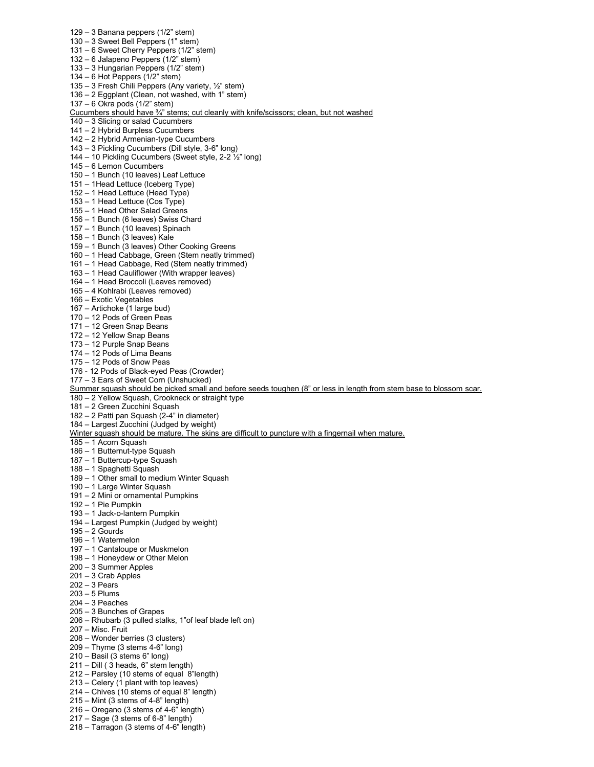129 – 3 Banana peppers (1/2" stem) 130 – 3 Sweet Bell Peppers (1" stem) 131 – 6 Sweet Cherry Peppers (1/2" stem) 132 – 6 Jalapeno Peppers (1/2" stem) 133 – 3 Hungarian Peppers (1/2" stem) 134 – 6 Hot Peppers  $(1/2)$ " stem) 135 – 3 Fresh Chili Peppers (Any variety, ½" stem) 136 – 2 Eggplant (Clean, not washed, with 1" stem) 137 – 6 Okra pods (1/2" stem) Cucumbers should have ¾" stems; cut cleanly with knife/scissors; clean, but not washed 140 – 3 Slicing or salad Cucumbers 141 – 2 Hybrid Burpless Cucumbers 142 – 2 Hybrid Armenian-type Cucumbers 143 – 3 Pickling Cucumbers (Dill style, 3-6" long) 144 – 10 Pickling Cucumbers (Sweet style, 2-2 ½" long) 145 – 6 Lemon Cucumbers 150 – 1 Bunch (10 leaves) Leaf Lettuce 151 – 1Head Lettuce (Iceberg Type) 152 – 1 Head Lettuce (Head Type) 153 – 1 Head Lettuce (Cos Type) 155 – 1 Head Other Salad Greens 156 – 1 Bunch (6 leaves) Swiss Chard 157 – 1 Bunch (10 leaves) Spinach 158 – 1 Bunch (3 leaves) Kale 159 – 1 Bunch (3 leaves) Other Cooking Greens 160 – 1 Head Cabbage, Green (Stem neatly trimmed) 161 – 1 Head Cabbage, Red (Stem neatly trimmed) 163 – 1 Head Cauliflower (With wrapper leaves) 164 – 1 Head Broccoli (Leaves removed) 165 – 4 Kohlrabi (Leaves removed) 166 – Exotic Vegetables 167 – Artichoke (1 large bud) 170 – 12 Pods of Green Peas 171 – 12 Green Snap Beans 172 – 12 Yellow Snap Beans 173 – 12 Purple Snap Beans 174 – 12 Pods of Lima Beans 175 – 12 Pods of Snow Peas 176 - 12 Pods of Black-eyed Peas (Crowder) 177 – 3 Ears of Sweet Corn (Unshucked) Summer squash should be picked small and before seeds toughen (8" or less in length from stem base to blossom scar. 180 – 2 Yellow Squash, Crookneck or straight type 181 – 2 Green Zucchini Squash 182 – 2 Patti pan Squash (2-4" in diameter) 184 – Largest Zucchini (Judged by weight) Winter squash should be mature. The skins are difficult to puncture with a fingernail when mature. 185 – 1 Acorn Squash 186 – 1 Butternut-type Squash 187 – 1 Buttercup-type Squash 188 – 1 Spaghetti Squash 189 – 1 Other small to medium Winter Squash 190 – 1 Large Winter Squash 191 – 2 Mini or ornamental Pumpkins 192 – 1 Pie Pumpkin 193 – 1 Jack-o-lantern Pumpkin 194 – Largest Pumpkin (Judged by weight) 195 – 2 Gourds 196 – 1 Watermelon 197 – 1 Cantaloupe or Muskmelon 198 – 1 Honeydew or Other Melon 200 – 3 Summer Apples 201 – 3 Crab Apples 202 – 3 Pears 203 – 5 Plums 204 – 3 Peaches 205 – 3 Bunches of Grapes 206 – Rhubarb (3 pulled stalks, 1"of leaf blade left on) 207 – Misc. Fruit 208 – Wonder berries (3 clusters) 209 – Thyme (3 stems 4-6" long) 210 – Basil (3 stems 6" long)  $211 -$  Dill ( $3$  heads, 6" stem length) 212 – Parsley (10 stems of equal 8"length) 213 – Celery (1 plant with top leaves) 214 – Chives (10 stems of equal 8" length) 215 – Mint (3 stems of 4-8" length) 216 – Oregano (3 stems of 4-6" length)

 $217 - \text{Sage}$  (3 stems of 6-8" length) 218 – Tarragon (3 stems of 4-6" length)